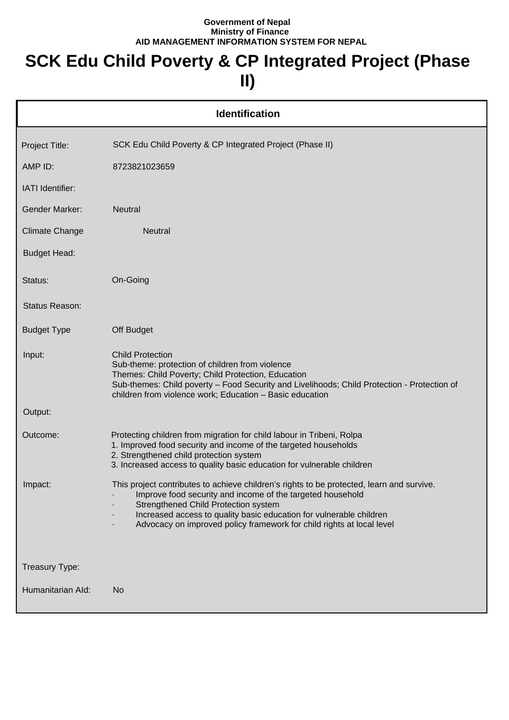## **Government of Nepal Ministry of Finance AID MANAGEMENT INFORMATION SYSTEM FOR NEPAL**

## **SCK Edu Child Poverty & CP Integrated Project (Phase II)**

| <b>Identification</b> |                                                                                                                                                                                                                                                                                                                                                 |  |  |
|-----------------------|-------------------------------------------------------------------------------------------------------------------------------------------------------------------------------------------------------------------------------------------------------------------------------------------------------------------------------------------------|--|--|
| Project Title:        | SCK Edu Child Poverty & CP Integrated Project (Phase II)                                                                                                                                                                                                                                                                                        |  |  |
| AMP ID:               | 8723821023659                                                                                                                                                                                                                                                                                                                                   |  |  |
| IATI Identifier:      |                                                                                                                                                                                                                                                                                                                                                 |  |  |
| <b>Gender Marker:</b> | <b>Neutral</b>                                                                                                                                                                                                                                                                                                                                  |  |  |
| <b>Climate Change</b> | <b>Neutral</b>                                                                                                                                                                                                                                                                                                                                  |  |  |
| <b>Budget Head:</b>   |                                                                                                                                                                                                                                                                                                                                                 |  |  |
| Status:               | On-Going                                                                                                                                                                                                                                                                                                                                        |  |  |
| Status Reason:        |                                                                                                                                                                                                                                                                                                                                                 |  |  |
| <b>Budget Type</b>    | Off Budget                                                                                                                                                                                                                                                                                                                                      |  |  |
| Input:                | <b>Child Protection</b><br>Sub-theme: protection of children from violence<br>Themes: Child Poverty; Child Protection, Education<br>Sub-themes: Child poverty - Food Security and Livelihoods; Child Protection - Protection of<br>children from violence work; Education - Basic education                                                     |  |  |
| Output:               |                                                                                                                                                                                                                                                                                                                                                 |  |  |
| Outcome:              | Protecting children from migration for child labour in Tribeni, Rolpa<br>1. Improved food security and income of the targeted households<br>2. Strengthened child protection system<br>3. Increased access to quality basic education for vulnerable children                                                                                   |  |  |
| Impact:               | This project contributes to achieve children's rights to be protected, learn and survive.<br>Improve food security and income of the targeted household<br>Strengthened Child Protection system<br>Increased access to quality basic education for vulnerable children<br>Advocacy on improved policy framework for child rights at local level |  |  |
| Treasury Type:        |                                                                                                                                                                                                                                                                                                                                                 |  |  |
| Humanitarian Ald:     | No                                                                                                                                                                                                                                                                                                                                              |  |  |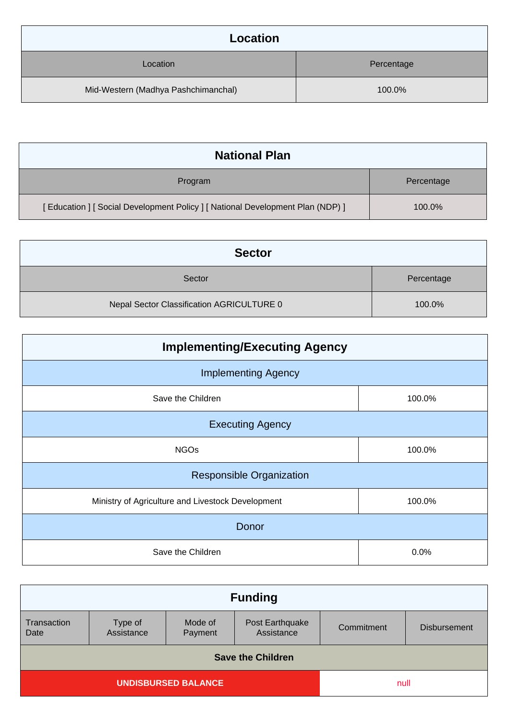| Location                            |            |
|-------------------------------------|------------|
| Location                            | Percentage |
| Mid-Western (Madhya Pashchimanchal) | 100.0%     |

| <b>National Plan</b>                                                            |            |
|---------------------------------------------------------------------------------|------------|
| Program                                                                         | Percentage |
| [ Education ] [ Social Development Policy ] [ National Development Plan (NDP) ] | 100.0%     |

| <b>Sector</b>                             |            |
|-------------------------------------------|------------|
| Sector                                    | Percentage |
| Nepal Sector Classification AGRICULTURE 0 | 100.0%     |

| <b>Implementing/Executing Agency</b>              |        |  |
|---------------------------------------------------|--------|--|
| <b>Implementing Agency</b>                        |        |  |
| Save the Children                                 | 100.0% |  |
| <b>Executing Agency</b>                           |        |  |
| <b>NGOs</b>                                       | 100.0% |  |
| <b>Responsible Organization</b>                   |        |  |
| Ministry of Agriculture and Livestock Development | 100.0% |  |
| <b>Donor</b>                                      |        |  |
| Save the Children                                 | 0.0%   |  |

| <b>Funding</b>             |                       |                    |                               |            |                     |
|----------------------------|-----------------------|--------------------|-------------------------------|------------|---------------------|
| Transaction<br>Date        | Type of<br>Assistance | Mode of<br>Payment | Post Earthquake<br>Assistance | Commitment | <b>Disbursement</b> |
| <b>Save the Children</b>   |                       |                    |                               |            |                     |
| <b>UNDISBURSED BALANCE</b> |                       | null               |                               |            |                     |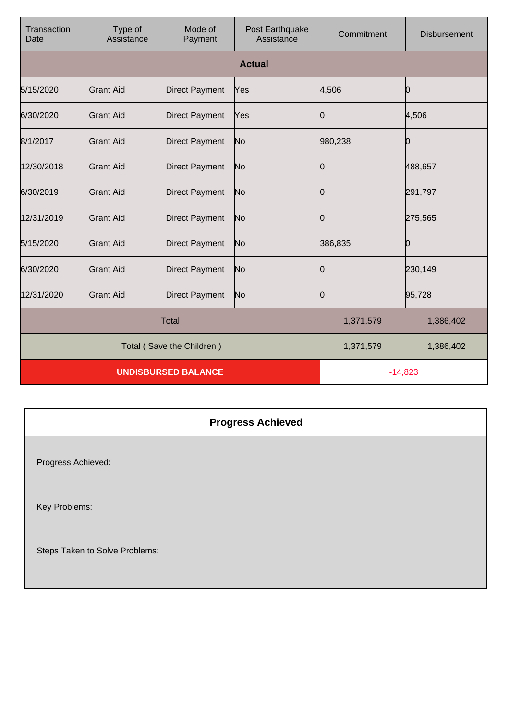| Transaction<br>Date        | Type of<br>Assistance | Mode of<br>Payment    | Post Earthquake<br>Assistance | Commitment | <b>Disbursement</b> |
|----------------------------|-----------------------|-----------------------|-------------------------------|------------|---------------------|
|                            |                       |                       | <b>Actual</b>                 |            |                     |
| 5/15/2020                  | <b>Grant Aid</b>      | <b>Direct Payment</b> | Yes                           | 4,506      | Ю                   |
| 6/30/2020                  | <b>Grant Aid</b>      | <b>Direct Payment</b> | Yes                           | 10         | 4,506               |
| 8/1/2017                   | <b>Grant Aid</b>      | <b>Direct Payment</b> | No                            | 980,238    | Ю                   |
| 12/30/2018                 | Grant Aid             | <b>Direct Payment</b> | No                            | 0          | 488,657             |
| 6/30/2019                  | <b>Grant Aid</b>      | <b>Direct Payment</b> | No                            | 10         | 291,797             |
| 12/31/2019                 | <b>Grant Aid</b>      | <b>Direct Payment</b> | No                            | Ю          | 275,565             |
| 5/15/2020                  | Grant Aid             | <b>Direct Payment</b> | No                            | 386,835    | Ю                   |
| 6/30/2020                  | <b>Grant Aid</b>      | <b>Direct Payment</b> | No                            | Ю          | 230,149             |
| 12/31/2020                 | <b>Grant Aid</b>      | <b>Direct Payment</b> | No                            | Ю          | 95,728              |
| <b>Total</b>               |                       |                       | 1,371,579                     | 1,386,402  |                     |
| Total (Save the Children)  |                       |                       | 1,371,579                     | 1,386,402  |                     |
| <b>UNDISBURSED BALANCE</b> |                       |                       | $-14,823$                     |            |                     |

## **Progress Achieved**

Progress Achieved:

Key Problems:

Steps Taken to Solve Problems: